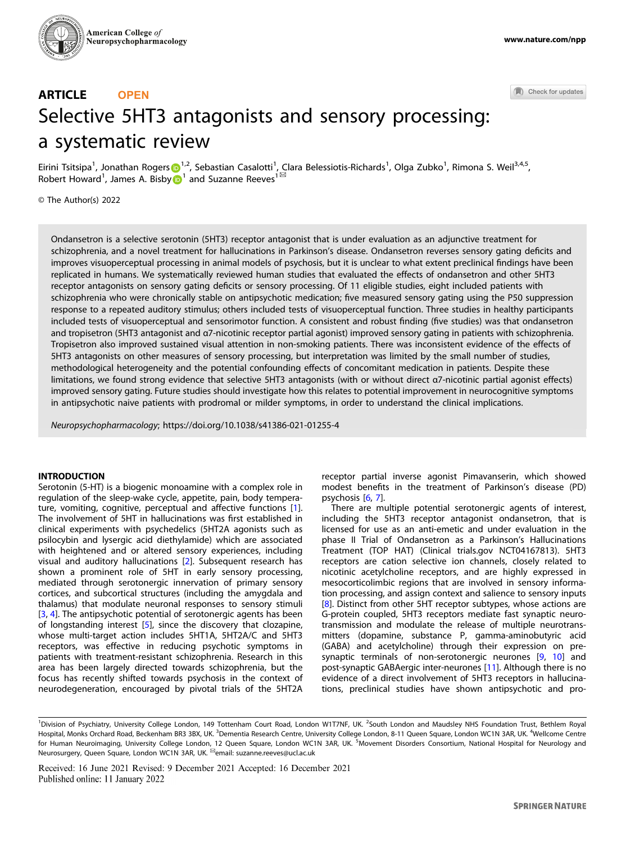

#### Check for updates

# ARTICLE **OPEN** Selective 5HT3 antagonists and sensory processing: a systematic review

Eirini T[s](http://orcid.org/0000-0002-4671-5410)itsipa<sup>[1](http://orcid.org/0000-0002-4671-5410)</sup>, Jonathan Rogers D<sup>1,2</sup>, Sebastian Casalotti<sup>1</sup>, Clara Belessiotis-Richards<sup>1</sup>, Olga Zubko<sup>1</sup>, Rimona S. Weil<sup>3,4,5</sup>, Although Alexandrian Register of Alexandria Casacca [1](http://orcid.org/0000-0002-5334-3969)

© The Author(s) 2022

Ondansetron is a selective serotonin (5HT3) receptor antagonist that is under evaluation as an adjunctive treatment for schizophrenia, and a novel treatment for hallucinations in Parkinson's disease. Ondansetron reverses sensory gating deficits and improves visuoperceptual processing in animal models of psychosis, but it is unclear to what extent preclinical findings have been replicated in humans. We systematically reviewed human studies that evaluated the effects of ondansetron and other 5HT3 receptor antagonists on sensory gating deficits or sensory processing. Of 11 eligible studies, eight included patients with schizophrenia who were chronically stable on antipsychotic medication; five measured sensory gating using the P50 suppression response to a repeated auditory stimulus; others included tests of visuoperceptual function. Three studies in healthy participants included tests of visuoperceptual and sensorimotor function. A consistent and robust finding (five studies) was that ondansetron and tropisetron (5HT3 antagonist and α7-nicotinic receptor partial agonist) improved sensory gating in patients with schizophrenia. Tropisetron also improved sustained visual attention in non-smoking patients. There was inconsistent evidence of the effects of 5HT3 antagonists on other measures of sensory processing, but interpretation was limited by the small number of studies, methodological heterogeneity and the potential confounding effects of concomitant medication in patients. Despite these limitations, we found strong evidence that selective 5HT3 antagonists (with or without direct α7-nicotinic partial agonist effects) improved sensory gating. Future studies should investigate how this relates to potential improvement in neurocognitive symptoms in antipsychotic naive patients with prodromal or milder symptoms, in order to understand the clinical implications.

Neuropsychopharmacology;<https://doi.org/10.1038/s41386-021-01255-4>

# **INTRODUCTION**

Serotonin (5-HT) is a biogenic monoamine with a complex role in regulation of the sleep-wake cycle, appetite, pain, body temperature, vomiting, cognitive, perceptual and affective functions [\[1\]](#page-9-0). The involvement of 5HT in hallucinations was first established in clinical experiments with psychedelics (5HT2A agonists such as psilocybin and lysergic acid diethylamide) which are associated with heightened and or altered sensory experiences, including visual and auditory hallucinations [[2](#page-9-0)]. Subsequent research has shown a prominent role of 5HT in early sensory processing, mediated through serotonergic innervation of primary sensory cortices, and subcortical structures (including the amygdala and thalamus) that modulate neuronal responses to sensory stimuli [\[3,](#page-9-0) [4\]](#page-9-0). The antipsychotic potential of serotonergic agents has been of longstanding interest [[5](#page-9-0)], since the discovery that clozapine, whose multi-target action includes 5HT1A, 5HT2A/C and 5HT3 receptors, was effective in reducing psychotic symptoms in patients with treatment-resistant schizophrenia. Research in this area has been largely directed towards schizophrenia, but the focus has recently shifted towards psychosis in the context of neurodegeneration, encouraged by pivotal trials of the 5HT2A receptor partial inverse agonist Pimavanserin, which showed modest benefits in the treatment of Parkinson's disease (PD) psychosis [\[6,](#page-9-0) [7](#page-9-0)].

There are multiple potential serotonergic agents of interest, including the 5HT3 receptor antagonist ondansetron, that is licensed for use as an anti-emetic and under evaluation in the phase II Trial of Ondansetron as a Parkinson's Hallucinations Treatment (TOP HAT) (Clinical trials.gov NCT04167813). 5HT3 receptors are cation selective ion channels, closely related to nicotinic acetylcholine receptors, and are highly expressed in mesocorticolimbic regions that are involved in sensory information processing, and assign context and salience to sensory inputs [\[8\]](#page-9-0). Distinct from other 5HT receptor subtypes, whose actions are G-protein coupled, 5HT3 receptors mediate fast synaptic neurotransmission and modulate the release of multiple neurotransmitters (dopamine, substance P, gamma-aminobutyric acid (GABA) and acetylcholine) through their expression on presynaptic terminals of non-serotonergic neurones [[9,](#page-9-0) [10](#page-9-0)] and post-synaptic GABAergic inter-neurones [[11\]](#page-9-0). Although there is no evidence of a direct involvement of 5HT3 receptors in hallucinations, preclinical studies have shown antipsychotic and pro-

<sup>&</sup>lt;sup>1</sup>Division of Psychiatry, University College London, 149 Tottenham Court Road, London W1T7NF, UK. <sup>2</sup>South London and Maudsley NHS Foundation Trust, Bethlem Royal Hospital, Monks Orchard Road, Beckenham BR3 3BX, UK. <sup>3</sup>Dementia Research Centre, University College London, 8-11 Queen Square, London WC1N 3AR, UK. <sup>4</sup>Wellcome Centre for Human Neuroimaging, University College London, 12 Queen Square, London WC1N 3AR, UK. <sup>5</sup>Movement Disorders Consortium, National Hospital for Neurology and Neurosurgery, Queen Square, London WC1N 3AR, UK. <sup>⊠</sup>email: [suzanne.reeves@ucl.ac.uk](mailto:suzanne.reeves@ucl.ac.uk)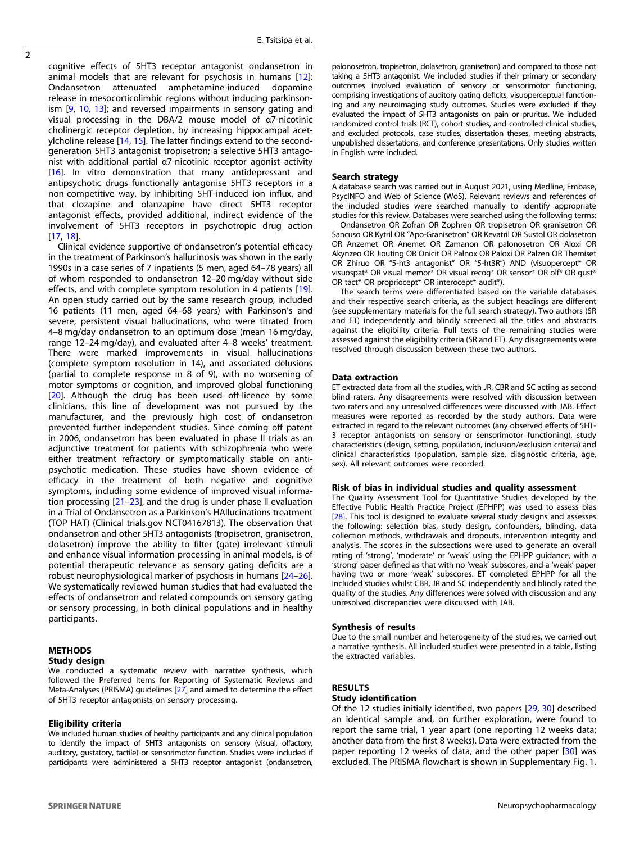$\overline{2}$ 

cognitive effects of 5HT3 receptor antagonist ondansetron in animal models that are relevant for psychosis in humans [[12](#page-9-0)]: Ondansetron attenuated amphetamine-induced dopamine release in mesocorticolimbic regions without inducing parkinson-ism [\[9,](#page-9-0) [10](#page-9-0), [13\]](#page-9-0); and reversed impairments in sensory gating and visual processing in the DBA/2 mouse model of α7-nicotinic cholinergic receptor depletion, by increasing hippocampal acetylcholine release [\[14](#page-9-0), [15](#page-9-0)]. The latter findings extend to the secondgeneration 5HT3 antagonist tropisetron; a selective 5HT3 antagonist with additional partial α7-nicotinic receptor agonist activity [[16\]](#page-9-0). In vitro demonstration that many antidepressant and antipsychotic drugs functionally antagonise 5HT3 receptors in a non-competitive way, by inhibiting 5HT-induced ion influx, and that clozapine and olanzapine have direct 5HT3 receptor antagonist effects, provided additional, indirect evidence of the involvement of 5HT3 receptors in psychotropic drug action [[17,](#page-9-0) [18\]](#page-9-0).

Clinical evidence supportive of ondansetron's potential efficacy in the treatment of Parkinson's hallucinosis was shown in the early 1990s in a case series of 7 inpatients (5 men, aged 64–78 years) all of whom responded to ondansetron 12–20 mg/day without side effects, and with complete symptom resolution in 4 patients [[19](#page-9-0)]. An open study carried out by the same research group, included 16 patients (11 men, aged 64–68 years) with Parkinson's and severe, persistent visual hallucinations, who were titrated from 4–8 mg/day ondansetron to an optimum dose (mean 16 mg/day, range 12–24 mg/day), and evaluated after 4–8 weeks' treatment. There were marked improvements in visual hallucinations (complete symptom resolution in 14), and associated delusions (partial to complete response in 8 of 9), with no worsening of motor symptoms or cognition, and improved global functioning [[20\]](#page-9-0). Although the drug has been used off-licence by some clinicians, this line of development was not pursued by the manufacturer, and the previously high cost of ondansetron prevented further independent studies. Since coming off patent in 2006, ondansetron has been evaluated in phase II trials as an adjunctive treatment for patients with schizophrenia who were either treatment refractory or symptomatically stable on antipsychotic medication. These studies have shown evidence of efficacy in the treatment of both negative and cognitive symptoms, including some evidence of improved visual information processing [\[21](#page-9-0)–[23\]](#page-9-0), and the drug is under phase II evaluation in a Trial of Ondansetron as a Parkinson's HAllucinations treatment (TOP HAT) (Clinical trials.gov NCT04167813). The observation that ondansetron and other 5HT3 antagonists (tropisetron, granisetron, dolasetron) improve the ability to filter (gate) irrelevant stimuli and enhance visual information processing in animal models, is of potential therapeutic relevance as sensory gating deficits are a robust neurophysiological marker of psychosis in humans [\[24](#page-9-0)–[26](#page-9-0)]. We systematically reviewed human studies that had evaluated the effects of ondansetron and related compounds on sensory gating or sensory processing, in both clinical populations and in healthy participants.

## METHODS Study design

We conducted a systematic review with narrative synthesis, which followed the Preferred Items for Reporting of Systematic Reviews and Meta-Analyses (PRISMA) guidelines [[27\]](#page-9-0) and aimed to determine the effect of 5HT3 receptor antagonists on sensory processing.

#### Eligibility criteria

We included human studies of healthy participants and any clinical population to identify the impact of 5HT3 antagonists on sensory (visual, olfactory, auditory, gustatory, tactile) or sensorimotor function. Studies were included if participants were administered a 5HT3 receptor antagonist (ondansetron, palonosetron, tropisetron, dolasetron, granisetron) and compared to those not taking a 5HT3 antagonist. We included studies if their primary or secondary outcomes involved evaluation of sensory or sensorimotor functioning, comprising investigations of auditory gating deficits, visuoperceptual functioning and any neuroimaging study outcomes. Studies were excluded if they evaluated the impact of 5HT3 antagonists on pain or pruritus. We included randomized control trials (RCT), cohort studies, and controlled clinical studies, and excluded protocols, case studies, dissertation theses, meeting abstracts, unpublished dissertations, and conference presentations. Only studies written in English were included.

#### Search strategy

A database search was carried out in August 2021, using Medline, Embase, PsycINFO and Web of Science (WoS). Relevant reviews and references of the included studies were searched manually to identify appropriate studies for this review. Databases were searched using the following terms:

Ondansetron OR Zofran OR Zophren OR tropisetron OR granisetron OR Sancuso OR Kytril OR "Apo-Granisetron" OR Kevatril OR Sustol OR dolasetron OR Anzemet OR Anemet OR Zamanon OR palonosetron OR Aloxi OR Akynzeo OR Jiouting OR Onicit OR Palnox OR Paloxi OR Palzen OR Themiset OR Zhiruo OR "5-ht3 antagonist" OR "5-ht3R") AND (visuopercept\* OR visuospat\* OR visual memor\* OR visual recog\* OR sensor\* OR olf\* OR gust\* OR tact\* OR propriocept\* OR interocept\* audit\*).

The search terms were differentiated based on the variable databases and their respective search criteria, as the subject headings are different (see supplementary materials for the full search strategy). Two authors (SR and ET) independently and blindly screened all the titles and abstracts against the eligibility criteria. Full texts of the remaining studies were assessed against the eligibility criteria (SR and ET). Any disagreements were resolved through discussion between these two authors.

#### Data extraction

ET extracted data from all the studies, with JR, CBR and SC acting as second blind raters. Any disagreements were resolved with discussion between two raters and any unresolved differences were discussed with JAB. Effect measures were reported as recorded by the study authors. Data were extracted in regard to the relevant outcomes (any observed effects of 5HT-3 receptor antagonists on sensory or sensorimotor functioning), study characteristics (design, setting, population, inclusion/exclusion criteria) and clinical characteristics (population, sample size, diagnostic criteria, age, sex). All relevant outcomes were recorded.

## Risk of bias in individual studies and quality assessment

The Quality Assessment Tool for Quantitative Studies developed by the Effective Public Health Practice Project (EPHPP) was used to assess bias [[28\]](#page-9-0). This tool is designed to evaluate several study designs and assesses the following: selection bias, study design, confounders, blinding, data collection methods, withdrawals and dropouts, intervention integrity and analysis. The scores in the subsections were used to generate an overall rating of 'strong', 'moderate' or 'weak' using the EPHPP guidance, with a 'strong' paper defined as that with no 'weak' subscores, and a 'weak' paper having two or more 'weak' subscores. ET completed EPHPP for all the included studies whilst CBR, JR and SC independently and blindly rated the quality of the studies. Any differences were solved with discussion and any unresolved discrepancies were discussed with JAB.

#### Synthesis of results

Due to the small number and heterogeneity of the studies, we carried out a narrative synthesis. All included studies were presented in a table, listing the extracted variables.

## RESULTS

## Study identification

Of the 12 studies initially identified, two papers [\[29](#page-9-0), [30\]](#page-9-0) described an identical sample and, on further exploration, were found to report the same trial, 1 year apart (one reporting 12 weeks data; another data from the first 8 weeks). Data were extracted from the paper reporting 12 weeks of data, and the other paper [\[30](#page-9-0)] was excluded. The PRISMA flowchart is shown in Supplementary Fig. 1.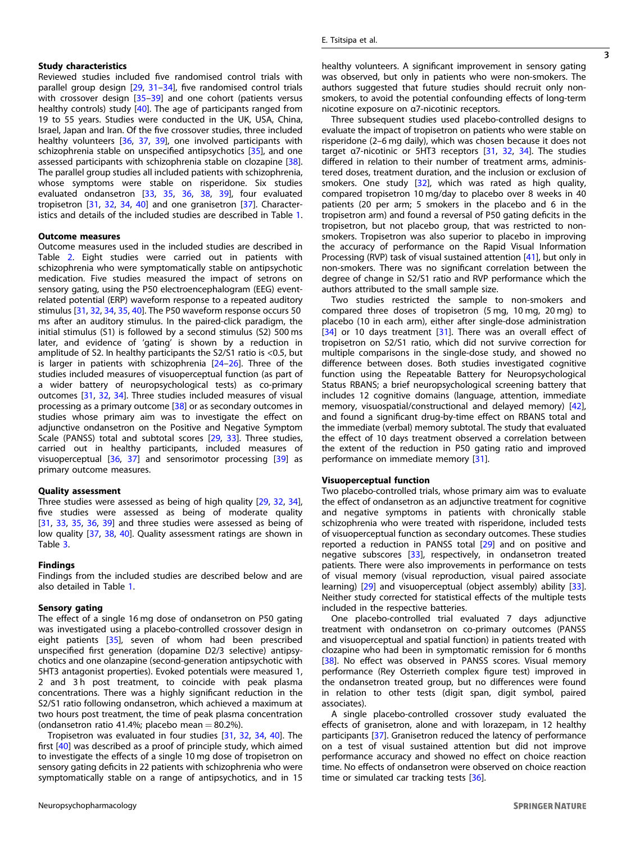Reviewed studies included five randomised control trials with parallel group design [[29,](#page-9-0) [31](#page-9-0)–[34](#page-9-0)], five randomised control trials with crossover design [[35](#page-9-0)–[39\]](#page-9-0) and one cohort (patients versus healthy controls) study [[40\]](#page-9-0). The age of participants ranged from 19 to 55 years. Studies were conducted in the UK, USA, China, Israel, Japan and Iran. Of the five crossover studies, three included healthy volunteers [[36,](#page-9-0) [37](#page-9-0), [39\]](#page-9-0), one involved participants with schizophrenia stable on unspecified antipsychotics [\[35](#page-9-0)], and one assessed participants with schizophrenia stable on clozapine [\[38\]](#page-9-0). The parallel group studies all included patients with schizophrenia, whose symptoms were stable on risperidone. Six studies evaluated ondansetron [[33,](#page-9-0) [35](#page-9-0), [36,](#page-9-0) [38](#page-9-0), [39\]](#page-9-0), four evaluated tropisetron [[31,](#page-9-0) [32](#page-9-0), [34](#page-9-0), [40\]](#page-9-0) and one granisetron [\[37](#page-9-0)]. Characteristics and details of the included studies are described in Table [1](#page-3-0).

## Outcome measures

Outcome measures used in the included studies are described in Table [2.](#page-5-0) Eight studies were carried out in patients with schizophrenia who were symptomatically stable on antipsychotic medication. Five studies measured the impact of setrons on sensory gating, using the P50 electroencephalogram (EEG) eventrelated potential (ERP) waveform response to a repeated auditory stimulus [[31,](#page-9-0) [32,](#page-9-0) [34,](#page-9-0) [35,](#page-9-0) [40](#page-9-0)]. The P50 waveform response occurs 50 ms after an auditory stimulus. In the paired-click paradigm, the initial stimulus (S1) is followed by a second stimulus (S2) 500 ms later, and evidence of 'gating' is shown by a reduction in amplitude of S2. In healthy participants the S2/S1 ratio is <0.5, but is larger in patients with schizophrenia [[24](#page-9-0)–[26\]](#page-9-0). Three of the studies included measures of visuoperceptual function (as part of a wider battery of neuropsychological tests) as co-primary outcomes [[31,](#page-9-0) [32,](#page-9-0) [34](#page-9-0)]. Three studies included measures of visual processing as a primary outcome [[38\]](#page-9-0) or as secondary outcomes in studies whose primary aim was to investigate the effect on adjunctive ondansetron on the Positive and Negative Symptom Scale (PANSS) total and subtotal scores [[29,](#page-9-0) [33\]](#page-9-0). Three studies, carried out in healthy participants, included measures of visuoperceptual [\[36,](#page-9-0) [37\]](#page-9-0) and sensorimotor processing [\[39](#page-9-0)] as primary outcome measures.

#### Quality assessment

Three studies were assessed as being of high quality [[29,](#page-9-0) [32,](#page-9-0) [34\]](#page-9-0), five studies were assessed as being of moderate quality [\[31,](#page-9-0) [33,](#page-9-0) [35](#page-9-0), [36,](#page-9-0) [39](#page-9-0)] and three studies were assessed as being of low quality [[37,](#page-9-0) [38](#page-9-0), [40](#page-9-0)]. Quality assessment ratings are shown in Table [3.](#page-7-0)

#### Findings

Findings from the included studies are described below and are also detailed in Table [1.](#page-3-0)

## Sensory gating

The effect of a single 16 mg dose of ondansetron on P50 gating was investigated using a placebo-controlled crossover design in eight patients [\[35](#page-9-0)], seven of whom had been prescribed unspecified first generation (dopamine D2/3 selective) antipsychotics and one olanzapine (second-generation antipsychotic with 5HT3 antagonist properties). Evoked potentials were measured 1, 2 and 3h post treatment, to coincide with peak plasma concentrations. There was a highly significant reduction in the S2/S1 ratio following ondansetron, which achieved a maximum at two hours post treatment, the time of peak plasma concentration (ondansetron ratio 41.4%; placebo mean  $= 80.2$ %).

Tropisetron was evaluated in four studies [\[31](#page-9-0), [32,](#page-9-0) [34](#page-9-0), [40](#page-9-0)]. The first [[40](#page-9-0)] was described as a proof of principle study, which aimed to investigate the effects of a single 10 mg dose of tropisetron on sensory gating deficits in 22 patients with schizophrenia who were symptomatically stable on a range of antipsychotics, and in 15 healthy volunteers. A significant improvement in sensory gating was observed, but only in patients who were non-smokers. The authors suggested that future studies should recruit only nonsmokers, to avoid the potential confounding effects of long-term nicotine exposure on α7-nicotinic receptors.

Three subsequent studies used placebo-controlled designs to evaluate the impact of tropisetron on patients who were stable on risperidone (2–6 mg daily), which was chosen because it does not target α7-nicotinic or 5HT3 receptors [\[31](#page-9-0), [32,](#page-9-0) [34](#page-9-0)]. The studies differed in relation to their number of treatment arms, administered doses, treatment duration, and the inclusion or exclusion of smokers. One study [[32\]](#page-9-0), which was rated as high quality, compared tropisetron 10 mg/day to placebo over 8 weeks in 40 patients (20 per arm; 5 smokers in the placebo and 6 in the tropisetron arm) and found a reversal of P50 gating deficits in the tropisetron, but not placebo group, that was restricted to nonsmokers. Tropisetron was also superior to placebo in improving the accuracy of performance on the Rapid Visual Information Processing (RVP) task of visual sustained attention [[41\]](#page-9-0), but only in non-smokers. There was no significant correlation between the degree of change in S2/S1 ratio and RVP performance which the authors attributed to the small sample size.

Two studies restricted the sample to non-smokers and compared three doses of tropisetron (5 mg, 10 mg, 20 mg) to placebo (10 in each arm), either after single-dose administration [\[34\]](#page-9-0) or 10 days treatment [[31\]](#page-9-0). There was an overall effect of tropisetron on S2/S1 ratio, which did not survive correction for multiple comparisons in the single-dose study, and showed no difference between doses. Both studies investigated cognitive function using the Repeatable Battery for Neuropsychological Status RBANS; a brief neuropsychological screening battery that includes 12 cognitive domains (language, attention, immediate memory, visuospatial/constructional and delayed memory) [\[42\]](#page-9-0), and found a significant drug-by-time effect on RBANS total and the immediate (verbal) memory subtotal. The study that evaluated the effect of 10 days treatment observed a correlation between the extent of the reduction in P50 gating ratio and improved performance on immediate memory [[31\]](#page-9-0).

## Visuoperceptual function

Two placebo-controlled trials, whose primary aim was to evaluate the effect of ondansetron as an adjunctive treatment for cognitive and negative symptoms in patients with chronically stable schizophrenia who were treated with risperidone, included tests of visuoperceptual function as secondary outcomes. These studies reported a reduction in PANSS total [[29\]](#page-9-0) and on positive and negative subscores [\[33](#page-9-0)], respectively, in ondansetron treated patients. There were also improvements in performance on tests of visual memory (visual reproduction, visual paired associate learning) [\[29](#page-9-0)] and visuoperceptual (object assembly) ability [\[33\]](#page-9-0). Neither study corrected for statistical effects of the multiple tests included in the respective batteries.

One placebo-controlled trial evaluated 7 days adjunctive treatment with ondansetron on co-primary outcomes (PANSS and visuoperceptual and spatial function) in patients treated with clozapine who had been in symptomatic remission for 6 months [\[38\]](#page-9-0). No effect was observed in PANSS scores. Visual memory performance (Rey Osterrieth complex figure test) improved in the ondansetron treated group, but no differences were found in relation to other tests (digit span, digit symbol, paired associates).

A single placebo-controlled crossover study evaluated the effects of granisetron, alone and with lorazepam, in 12 healthy participants [\[37](#page-9-0)]. Granisetron reduced the latency of performance on a test of visual sustained attention but did not improve performance accuracy and showed no effect on choice reaction time. No effects of ondansetron were observed on choice reaction time or simulated car tracking tests [\[36\]](#page-9-0).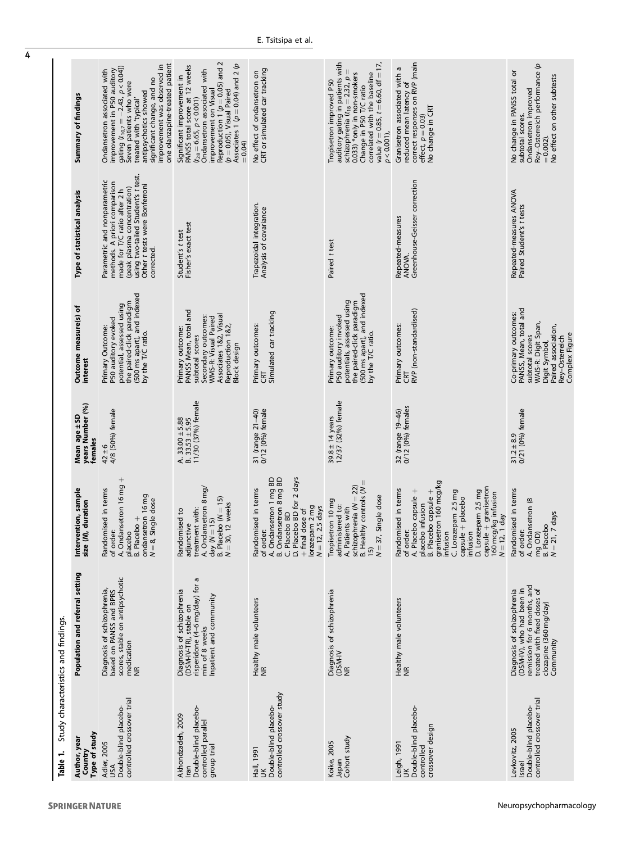<span id="page-3-0"></span>

| Cable 1.                                                                                 | Study characteristics and findings.                                                                                                                          |                                                                                                                                                                                                                                                                                                                                                                |                                                                  |                                                                                                                                                                            |                                                                                                                                                                                                                  |                                                                                                                                                                                                                                                                                  |
|------------------------------------------------------------------------------------------|--------------------------------------------------------------------------------------------------------------------------------------------------------------|----------------------------------------------------------------------------------------------------------------------------------------------------------------------------------------------------------------------------------------------------------------------------------------------------------------------------------------------------------------|------------------------------------------------------------------|----------------------------------------------------------------------------------------------------------------------------------------------------------------------------|------------------------------------------------------------------------------------------------------------------------------------------------------------------------------------------------------------------|----------------------------------------------------------------------------------------------------------------------------------------------------------------------------------------------------------------------------------------------------------------------------------|
| Type of study<br>Author, year<br>Country                                                 | Population and referral setting                                                                                                                              | Intervention, sample<br>size (M), duration                                                                                                                                                                                                                                                                                                                     | years Number (%)<br>Mean age ± SD<br>females                     | Outcome measure(s) of<br>interest                                                                                                                                          | Type of statistical analysis                                                                                                                                                                                     | Summary of findings                                                                                                                                                                                                                                                              |
| controlled crossover trial<br>Double-blind placebo-<br>Adler, 2005<br>USA                | scores, stable on antipsychotic<br>Diagnosis of schizophrenia,<br>based on PANSS and BPRS<br>medication<br>NR                                                | A. Ondansetron 16 mg +<br>Randomised in terms<br>of order:<br>ondansetron 16 mg<br>Single dose<br>placebo<br>B. Placebo +<br>$N=8,$                                                                                                                                                                                                                            | 4/8 (50%) female<br>$42 \pm 6$                                   | the paired-click paradigm<br>(500 ms apart), and indexed<br>by the T/C ratio.<br>potential, assessed using<br>P50 auditory evoked<br>Primary Outcome:                      | using two-tailed Student's t test.<br>Other t tests were Bonferroni<br>Parametric and nonparametric<br>methods. A priori comparison<br>made for T/C ratio after 2 h<br>(peak plasma concentration)<br>corrected. | one olanzapine-treated patient<br>improvement was observed in<br>gating $(t_{10,7} = -2.43, p < 0.04]$<br>improvement in P50 auditory<br>Ondansetron associated with<br>significant change, and no<br>Seven patients who were<br>antipsychotics showed<br>treated with 'typical' |
| Double-blind placebo-<br>Akhondzadeh, 2009<br>controlled parallel<br>group trial<br>Iran | ā<br>risperidone (4-6 mg/day) for<br>Diagnosis of schizophrenia<br>inpatient and community<br>(DSM-IV-TR), stable on<br>min of 8 weeks                       | A. Ondansetron 8 mg/<br>day $(N = 15)$<br>B. Placebo $(N = 15)$<br>$N = 30$ , 12 weeks<br>treatment with:<br>Randomised to<br>adjunctive                                                                                                                                                                                                                       | A. $33.00 \pm 5.88$<br>B. $33.53 \pm 5.95$<br>11/30 (37%) female | PANSS Mean, total and<br>Associates 1&2, Visual<br>Secondary outcomes:<br>WMS-R: Visual Paired<br>Reproduction 1&2,<br>Primary outcome:<br>subtotal scores<br>Block design | Fisher's exact test<br>Student's t test                                                                                                                                                                          | Reproduction 1 $(p=0.05)$ and 2 $(p=0.05)$ , Visual Paired<br>Associates 1 ( $p = 0.04$ ) and 2 ( $p$<br>PANSS total score at 12 weeks<br>Ondansetron associated with<br>Significant improvement in<br>improvement on Visual<br>$(t_{28} = 6.65, p < 0.001)$<br>$= 0.04$         |
| controlled crossover study<br>Double-blind placebo-<br>Hall, 1991<br>š                   | Healthy male volunteers<br>NR                                                                                                                                | D. Placebo BD for 2 days<br>A. Ondansetron 1 mg BD<br>B. Ondansetron 8 mg BD<br>C. Placebo BD<br>mised in terms<br>+ final dose of<br>lorazepam 2 mg<br>$N = 12, 2.5$ days<br>Randomis<br>of order:                                                                                                                                                            | 31 (range 21-40)<br>0/12 (0%) female                             | Simulated car tracking<br>Primary outcomes:<br>CRT                                                                                                                         | Trapezoidal integration.<br>Analysis of covariance                                                                                                                                                               | CRT or simulated car tracking<br>No effect of ondansetron on                                                                                                                                                                                                                     |
| Japan<br>Cohort study<br>Koike, 2005                                                     | Diagnosis of schizophrenia<br>(DSM-IV<br>NR                                                                                                                  | schizophrenia (N = 22)<br>Ithy controls (N<br>Single dose<br>Tropisetron 10 mg<br>administered to:<br>A. Patients with<br>$N = 37,$<br>B. Heal<br>15)                                                                                                                                                                                                          | 12/37 (32%) female<br>$39.8 \pm 14$ years                        | (500 ms apart), and indexed<br>by the T/C ratio.<br>potentials, assessed using<br>the paired-click paradigm<br>P50 auditory invoked<br>Primary outcome:                    | Paired t test                                                                                                                                                                                                    | auditory gating in patients with<br>schizophrenia ( $t_{18} = 2.32$ , $p =$<br>value ( $r = 0.85$ , $t = 6.60$ , df = 17,<br>0.033) *only in non-smokers<br>correlated with the baseline<br>Tropisetron improved P50<br>Change in P50 T/C ratio<br>$p < 0.001$ ),                |
| Double-blind placebo-<br>crossover design<br>Leigh, 1991<br>controlled<br>š              | Healthy male volunteers<br>NR                                                                                                                                | of order:<br>A. Placebo capsule +<br>placebo infusion<br>B. Placebo capsule +<br>granisetron 160 mcg/kg<br>capsule + granisetron<br>160 mcg/kg infusion<br>mised in terms<br>D. Lorazepam 2.5 mg<br>C. Lorazepam 2.5 mg<br>$\begin{array}{lll} \text{capsule} \, + \, \text{placebo} \\ \text{infusion} \end{array}$<br>$N = 12$ , 1 day<br>infusion<br>Randor | 32 (range 19-46)<br>0/12 (0%) females                            | RVP (non-standardised)<br>Primary outcomes:<br>CRT                                                                                                                         | Greenhouse-Geisser correction<br>Repeated-measures<br>ANOVA.                                                                                                                                                     | correct responses on RVP (main<br>Granisetron associated with a<br>reduced mean latency of<br>No change in CRT<br>effect, $p = 0.03$ )                                                                                                                                           |
| controlled crossover trial<br>Double-blind placebo-<br>Levkovitz, 2005<br>Israel         | remission for 6 months, and<br>treated with fixed doses of<br>Diagnosis of schizophrenia<br>(DSM-IV), who had been in<br>clozapine (360 mg/day)<br>Community | Randomised in terms<br>of order:<br>A. Ondansetron (8<br>mg OD)<br>B. Placebo<br>N = 21, 7 days                                                                                                                                                                                                                                                                | $31.2 \pm 8.9$ 0/21 (0%) female                                  | PANSS, Mean, total and<br>Co-primary outcomes:<br>WAIS-R: Digit Span,<br>Paired association,<br>Complex Figure<br>subtotal scores<br>Rey-Osterreich<br>Digit Symbol,       | Repeated-measures ANOVA<br>Paired Student's t tests                                                                                                                                                              | e<br>No change in PANSS total or<br>Rey-Osterreich performance<br>No effect on other subtests<br>Ondansetron improved<br>subtotal scores.<br>$= 0.002$ ).                                                                                                                        |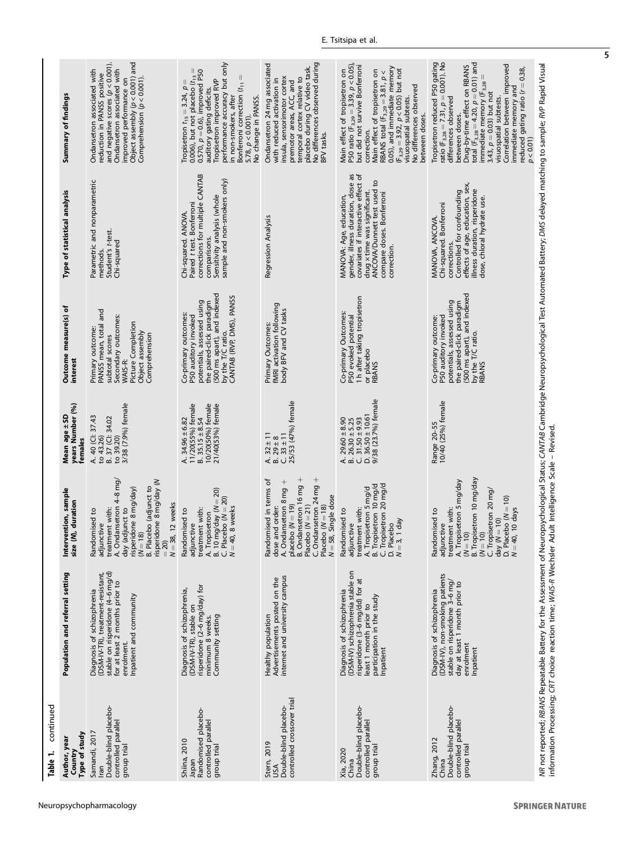| continued<br>Table 1.                                                                |                                                                                                                                                                                                                                                                                                                  |                                                                                                                                                                                                                           |                                                                                                                 |                                                                                                                                                                                        |                                                                                                                                                                                                                |                                                                                                                                                                                                                                                                                                                                                                                                                             |
|--------------------------------------------------------------------------------------|------------------------------------------------------------------------------------------------------------------------------------------------------------------------------------------------------------------------------------------------------------------------------------------------------------------|---------------------------------------------------------------------------------------------------------------------------------------------------------------------------------------------------------------------------|-----------------------------------------------------------------------------------------------------------------|----------------------------------------------------------------------------------------------------------------------------------------------------------------------------------------|----------------------------------------------------------------------------------------------------------------------------------------------------------------------------------------------------------------|-----------------------------------------------------------------------------------------------------------------------------------------------------------------------------------------------------------------------------------------------------------------------------------------------------------------------------------------------------------------------------------------------------------------------------|
| Type of study<br>Author, year<br>Country                                             | Population and referral setting                                                                                                                                                                                                                                                                                  | Intervention, sample<br>size (N), duration                                                                                                                                                                                | years Number (%)<br>Mean age ± SD<br>females                                                                    | Outcome measure(s) of<br>interest                                                                                                                                                      | Type of statistical analysis                                                                                                                                                                                   | Summary of findings                                                                                                                                                                                                                                                                                                                                                                                                         |
| Double-blind placebo-<br>controlled parallel<br>Samandi, 2017<br>group trial<br>Iran | stable on risperidone (4-6 mg/d)<br>(DSM-IV-TR), treatment-resistant,<br>for at least 2 months prior to<br>Diagnosis of schizophrenia<br>Inpatient and community<br>enrolment.                                                                                                                                   | A. Ondansetron 4–8 mg<br>risperidone 8 mg/day (N<br>B. Placebo (adjunct to<br>risperidone 8 mg/day)<br>$N = 38, 12$ weeks<br>day (adjunct to<br>treatment with:<br>Randomised to<br>adjunctive<br>$(N = 18)$<br>$= 20$    | 3/38 (7.9%) female<br>A. 40 (Cl: 37.43<br>B. 37 (CI: 34.02<br>to 39.20)<br>to 43.26)                            | and<br>Secondary outcomes:<br>Picture Completion<br>PANSS mean, total<br>Primary outcome:<br>Object assembly<br>Comprehension<br>subtotal scores<br>WAIS-R:                            | Parametric and nonparametric<br>Student's t-test.<br>Chi-squared<br>methods.                                                                                                                                   | Object assembly $(p < 0.001)$ and<br>and negative scores $(p < 0.001)$ .<br>Ondansetron associated with<br>Ondansetron associated with<br>reduction in PANSS positive<br>Comprehension $(p < 0.001)$ .<br>improved performance on                                                                                                                                                                                           |
| Randomised placebo-<br>controlled parallel<br>Shiina, 2010<br>group trial<br>Japan   | risperidone (2-6 mg/day) for<br>Diagnosis of schizophrenia,<br>(DSM-IV-TR), stable on<br>Community setting<br>minimum 8 weeks.                                                                                                                                                                                   | mg/day ( $N = 20$ )<br>B. 10 mg/day ( $N = 20$<br>C. Placebo ( $N = 20$ )<br>$N = 40$ , 8 weeks<br>treatment with:<br>Randomised to<br>A. Tropisetron<br>adjunctive                                                       | 11/20(55%) female<br>10/20(50%) female<br>21/40(53%) female<br>$B.35.15 \pm 8.54$<br>A. $34.96 \pm 6.82$        | (500 ms apart), and indexed<br>by the T/C ratio.<br>CANTAB (RVP, DMS), PANSS<br>the paired-click paradigm<br>potentials, assessed using<br>Co-primary outcomes<br>P50 auditory invoked | corrections for multiple CANTAB<br>sample and non-smokers only)<br>Sensitivity analysis (whole<br>Paired t test. Bonferroni<br>Chi-squared. ANOVA<br>comparisons.                                              | performance accuracy but only<br>Ш<br>0.570, $p = 0.6$ ), improved P50<br>Tropisetron $t_{15} = 3.24$ , $p = 0.006$ ), but not placebo $(t_{13})$<br>Ш<br>Tropisetron improved RVP<br>Bonferroni correction (t <sub>11</sub><br>auditory gating deficits.<br>No change in PANSS.<br>in non-smokers, after<br>5.78, p < 0.001                                                                                                |
| controlled crossover trial<br>Double-blind placebo-<br>Stern, 2019<br>Αsυ            | internet and university campus<br>Advertisements posted on the<br>Healthy population                                                                                                                                                                                                                             | C. Ondansetron 24 mg +<br>$B.$ Ondansetron 16 mg +<br>Randomised in terms of<br>A. Ondansetron 8 mg<br>$N = 58$ , Single dose<br>placebo $(N = 19)$<br>Placebo $(N = 21)$<br>Placebo $(N = 18)$<br>dose and order:        | 25/53 (47%) female<br>A. $32 \pm 11$<br>B. $29 \pm 8$<br>$C.33 \pm 11$                                          | fMRI activation following<br>body BFV and CV tasks<br>Primary Outcomes:                                                                                                                | Regression Analysis                                                                                                                                                                                            | No differences observed during<br>Ondansetron 24 mg associated<br>placebo during CV video task.<br>insula, sensorimotor cortex<br>temporal cortex relative to<br>with reduced activation in<br>premotor areas, ACC, and<br>BFV tasks                                                                                                                                                                                        |
| Double-blind placebo-<br>controlled parallel<br>group trial<br>Xia, 2020<br>China    | (DSM-IV) schizophrenia stable on<br>risperidone (3-6 mg/dd) for at<br>Diagnosis of schizophrenia<br>participation in the study<br>least 1 month prior to<br>Inpatient                                                                                                                                            | C. Tropisetron 20 mg/d<br>A. Tropisetron 5 mg/d<br>B. Tropisetron 10 mg/d<br>treatment with:<br>Randomised to<br>1 day<br>adjunctive<br>D. Placebo<br>$N=3$                                                               | D. $36.50 \pm 10.61$<br>9/38 (23.7%) female<br>A. $29.60 \pm 8.90$<br>B. $26.30 \pm 5.25$<br>$C.31.50 \pm 9.93$ | 1 h after taking tropisetron<br>Co-primary Outcomes:<br>P50 evoked potentia<br>or placebo<br>RBANS                                                                                     | gender, illness duration, dose as<br>covariates if interactive effect of<br>ANCOVA/Dunnett test used to<br>drug x time was significant.<br>compare doses. Bonferroni<br>MANOVA: Age, education,<br>correction. | P50 ratio ( $F_{3,29} = 3.39$ , $p < 0.05$ )<br>but did not survive Bonferroni<br>RBANS total $(F_{3,29} = 3.81, p < 0.05)$ , and immediate memory<br>$(F_{3,29} = 3.92, p < 0.05)$ but not<br>Main effect of tropisetron on<br>Main effect of tropisetron on<br>No differences observed<br>visuospatial subtests.<br>between doses.<br>correction.                                                                         |
| Double-blind placebo-<br>controlled parallel<br>group trial<br>Zhang, 2012<br>China  | (DSM-IV), non-smoking patients<br>stable on risperidone 3-6 mg/<br>day at least 1 month prior to<br>Diagnosis of schizophrenia<br>enrolment<br>Inpatient                                                                                                                                                         | B. Tropisetron 10 mg/day<br>A. Tropisetron 5 mg/day<br>(N = 10)<br>C. Tropisetron 20 mg/<br>D. Placebo $(N = 10)$<br>$N = 40$ , 10 days<br>treatment with:<br>Randomised to<br>day $(W = 10)$<br>adjunctive<br>$(N = 10)$ | Range 20–55<br>10/40 (25%) female                                                                               | (500 ms apart), and indexed<br>potentials, assessed using<br>the paired-click paradigm<br>P50 auditory invoked<br>Co-primary outcome:<br>by the T/C ratio.<br><b>RBANS</b>             | effects of age, education, sex,<br>illness duration, risperidone<br>Controlled for confounding<br>dose, chloral hydrate use<br>Chi-squared. Bonferroni<br>MANOVA, ANCOVA<br>corrections.                       | Tropisetron reduced P50 gating<br>ratio (F <sub>3,28</sub> = 7.31, $p = 0.001$ ). No<br>total ( $F_{3,28} = 4.20$ , $p = 0.01$ ) and<br>Drug-by-time effect on RBANS<br>Correlation between improved<br>reduced gating ratio ( $r = 0.38$ ,<br>immediate memory (F <sub>3,28</sub><br>immediate memory and<br>3.43, $p = 0.03$ ) but not<br>differences observed<br>visuospatial subtests.<br>between doses<br>$p < 0.01$ ) |
|                                                                                      | MR not reported; RBANS Repeatable Battery for the Assessment of Neuropsychological Status; CANTAB Cambridge Neuropsychological Test Automated Battery; DMS delayed matching to sample; RI/P Rapid Visual<br>information Processing; CRT choice reaction time; WAIS-R Wechsler Adult Intelligence Scale - Revised |                                                                                                                                                                                                                           |                                                                                                                 |                                                                                                                                                                                        |                                                                                                                                                                                                                |                                                                                                                                                                                                                                                                                                                                                                                                                             |

 $\overline{\phantom{a}}$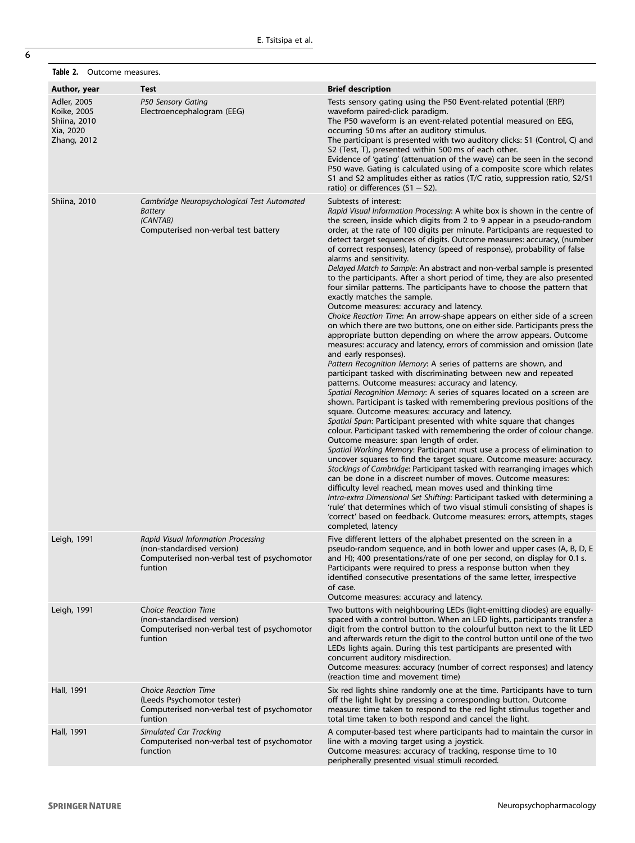<span id="page-5-0"></span>Table 2. Outcome measures.

| Author, year                                                           | Test                                                                                                                        | <b>Brief description</b>                                                                                                                                                                                                                                                                                                                                                                                                                                                                                                                                                                                                                                                                                                                                                                                                                                                                                                                                                                                                                                                                                                                                                                                                                                                                                                                                                                                                                                                                                                                                                                                                                                                                                                                                                                                                                                                                                                                                                                                                                                                                                                                                                                                                                                                                                                |
|------------------------------------------------------------------------|-----------------------------------------------------------------------------------------------------------------------------|-------------------------------------------------------------------------------------------------------------------------------------------------------------------------------------------------------------------------------------------------------------------------------------------------------------------------------------------------------------------------------------------------------------------------------------------------------------------------------------------------------------------------------------------------------------------------------------------------------------------------------------------------------------------------------------------------------------------------------------------------------------------------------------------------------------------------------------------------------------------------------------------------------------------------------------------------------------------------------------------------------------------------------------------------------------------------------------------------------------------------------------------------------------------------------------------------------------------------------------------------------------------------------------------------------------------------------------------------------------------------------------------------------------------------------------------------------------------------------------------------------------------------------------------------------------------------------------------------------------------------------------------------------------------------------------------------------------------------------------------------------------------------------------------------------------------------------------------------------------------------------------------------------------------------------------------------------------------------------------------------------------------------------------------------------------------------------------------------------------------------------------------------------------------------------------------------------------------------------------------------------------------------------------------------------------------------|
| Adler, 2005<br>Koike, 2005<br>Shiina, 2010<br>Xia, 2020<br>Zhang, 2012 | P50 Sensory Gating<br>Electroencephalogram (EEG)                                                                            | Tests sensory gating using the P50 Event-related potential (ERP)<br>waveform paired-click paradigm.<br>The P50 waveform is an event-related potential measured on EEG,<br>occurring 50 ms after an auditory stimulus.<br>The participant is presented with two auditory clicks: S1 (Control, C) and<br>S2 (Test, T), presented within 500 ms of each other.<br>Evidence of 'gating' (attenuation of the wave) can be seen in the second<br>P50 wave. Gating is calculated using of a composite score which relates<br>S1 and S2 amplitudes either as ratios (T/C ratio, suppression ratio, S2/S1<br>ratio) or differences $(S1 - S2)$ .                                                                                                                                                                                                                                                                                                                                                                                                                                                                                                                                                                                                                                                                                                                                                                                                                                                                                                                                                                                                                                                                                                                                                                                                                                                                                                                                                                                                                                                                                                                                                                                                                                                                                 |
| Shiina, 2010                                                           | Cambridge Neuropsychological Test Automated<br><b>Battery</b><br>(CANTAB)<br>Computerised non-verbal test battery           | Subtests of interest:<br>Rapid Visual Information Processing: A white box is shown in the centre of<br>the screen, inside which digits from 2 to 9 appear in a pseudo-random<br>order, at the rate of 100 digits per minute. Participants are requested to<br>detect target sequences of digits. Outcome measures: accuracy, (number<br>of correct responses), latency (speed of response), probability of false<br>alarms and sensitivity.<br>Delayed Match to Sample: An abstract and non-verbal sample is presented<br>to the participants. After a short period of time, they are also presented<br>four similar patterns. The participants have to choose the pattern that<br>exactly matches the sample.<br>Outcome measures: accuracy and latency.<br>Choice Reaction Time: An arrow-shape appears on either side of a screen<br>on which there are two buttons, one on either side. Participants press the<br>appropriate button depending on where the arrow appears. Outcome<br>measures: accuracy and latency, errors of commission and omission (late<br>and early responses).<br>Pattern Recognition Memory: A series of patterns are shown, and<br>participant tasked with discriminating between new and repeated<br>patterns. Outcome measures: accuracy and latency.<br>Spatial Recognition Memory: A series of squares located on a screen are<br>shown. Participant is tasked with remembering previous positions of the<br>square. Outcome measures: accuracy and latency.<br>Spatial Span: Participant presented with white square that changes<br>colour. Participant tasked with remembering the order of colour change.<br>Outcome measure: span length of order.<br>Spatial Working Memory: Participant must use a process of elimination to<br>uncover squares to find the target square. Outcome measure: accuracy.<br>Stockings of Cambridge: Participant tasked with rearranging images which<br>can be done in a discreet number of moves. Outcome measures:<br>difficulty level reached, mean moves used and thinking time<br>Intra-extra Dimensional Set Shifting: Participant tasked with determining a<br>'rule' that determines which of two visual stimuli consisting of shapes is<br>'correct' based on feedback. Outcome measures: errors, attempts, stages<br>completed, latency |
| Leigh, 1991                                                            | Rapid Visual Information Processing<br>(non-standardised version)<br>Computerised non-verbal test of psychomotor<br>funtion | Five different letters of the alphabet presented on the screen in a<br>pseudo-random sequence, and in both lower and upper cases (A, B, D, E<br>and H); 400 presentations/rate of one per second, on display for 0.1 s.<br>Participants were required to press a response button when they<br>identified consecutive presentations of the same letter, irrespective<br>of case.<br>Outcome measures: accuracy and latency.                                                                                                                                                                                                                                                                                                                                                                                                                                                                                                                                                                                                                                                                                                                                                                                                                                                                                                                                                                                                                                                                                                                                                                                                                                                                                                                                                                                                                                                                                                                                                                                                                                                                                                                                                                                                                                                                                              |
| Leigh, 1991                                                            | <b>Choice Reaction Time</b><br>(non-standardised version)<br>Computerised non-verbal test of psychomotor<br>funtion         | Two buttons with neighbouring LEDs (light-emitting diodes) are equally-<br>spaced with a control button. When an LED lights, participants transfer a<br>digit from the control button to the colourful button next to the lit LED<br>and afterwards return the digit to the control button until one of the two<br>LEDs lights again. During this test participants are presented with<br>concurrent auditory misdirection.<br>Outcome measures: accuracy (number of correct responses) and latency<br>(reaction time and movement time)                                                                                                                                                                                                                                                                                                                                                                                                                                                                                                                                                                                                                                                                                                                                                                                                                                                                                                                                                                                                                                                                                                                                                                                                                                                                                                                                                                                                                                                                                                                                                                                                                                                                                                                                                                                |
| Hall, 1991                                                             | <b>Choice Reaction Time</b><br>(Leeds Psychomotor tester)<br>Computerised non-verbal test of psychomotor<br>funtion         | Six red lights shine randomly one at the time. Participants have to turn<br>off the light light by pressing a corresponding button. Outcome<br>measure: time taken to respond to the red light stimulus together and<br>total time taken to both respond and cancel the light.                                                                                                                                                                                                                                                                                                                                                                                                                                                                                                                                                                                                                                                                                                                                                                                                                                                                                                                                                                                                                                                                                                                                                                                                                                                                                                                                                                                                                                                                                                                                                                                                                                                                                                                                                                                                                                                                                                                                                                                                                                          |
| Hall, 1991                                                             | Simulated Car Tracking<br>Computerised non-verbal test of psychomotor<br>function                                           | A computer-based test where participants had to maintain the cursor in<br>line with a moving target using a joystick.<br>Outcome measures: accuracy of tracking, response time to 10<br>peripherally presented visual stimuli recorded.                                                                                                                                                                                                                                                                                                                                                                                                                                                                                                                                                                                                                                                                                                                                                                                                                                                                                                                                                                                                                                                                                                                                                                                                                                                                                                                                                                                                                                                                                                                                                                                                                                                                                                                                                                                                                                                                                                                                                                                                                                                                                 |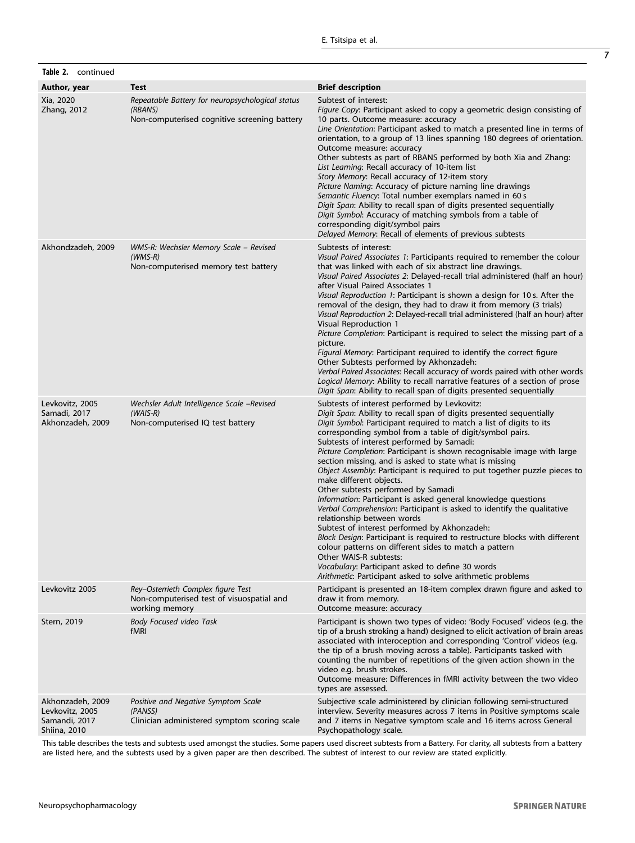| Table 2. continued                                                   |                                                                                                             |                                                                                                                                                                                                                                                                                                                                                                                                                                                                                                                                                                                                                                                                                                                                                                                                                                                                                                                                                                                                                                                                                                   |
|----------------------------------------------------------------------|-------------------------------------------------------------------------------------------------------------|---------------------------------------------------------------------------------------------------------------------------------------------------------------------------------------------------------------------------------------------------------------------------------------------------------------------------------------------------------------------------------------------------------------------------------------------------------------------------------------------------------------------------------------------------------------------------------------------------------------------------------------------------------------------------------------------------------------------------------------------------------------------------------------------------------------------------------------------------------------------------------------------------------------------------------------------------------------------------------------------------------------------------------------------------------------------------------------------------|
| Author, year                                                         | <b>Test</b>                                                                                                 | <b>Brief description</b>                                                                                                                                                                                                                                                                                                                                                                                                                                                                                                                                                                                                                                                                                                                                                                                                                                                                                                                                                                                                                                                                          |
| Xia, 2020<br>Zhang, 2012                                             | Repeatable Battery for neuropsychological status<br>(RBANS)<br>Non-computerised cognitive screening battery | Subtest of interest:<br>Figure Copy: Participant asked to copy a geometric design consisting of<br>10 parts. Outcome measure: accuracy<br>Line Orientation: Participant asked to match a presented line in terms of<br>orientation, to a group of 13 lines spanning 180 degrees of orientation.<br>Outcome measure: accuracy<br>Other subtests as part of RBANS performed by both Xia and Zhang:<br>List Learning: Recall accuracy of 10-item list<br>Story Memory: Recall accuracy of 12-item story<br>Picture Naming: Accuracy of picture naming line drawings<br>Semantic Fluency: Total number exemplars named in 60 s<br>Digit Span: Ability to recall span of digits presented sequentially<br>Digit Symbol: Accuracy of matching symbols from a table of<br>corresponding digit/symbol pairs<br>Delayed Memory: Recall of elements of previous subtests                                                                                                                                                                                                                                    |
| Akhondzadeh, 2009                                                    | WMS-R: Wechsler Memory Scale - Revised<br>$(WMS-R)$<br>Non-computerised memory test battery                 | Subtests of interest:<br>Visual Paired Associates 1: Participants required to remember the colour<br>that was linked with each of six abstract line drawings.<br>Visual Paired Associates 2: Delayed-recall trial administered (half an hour)<br>after Visual Paired Associates 1<br>Visual Reproduction 1: Participant is shown a design for 10 s. After the<br>removal of the design, they had to draw it from memory (3 trials)<br>Visual Reproduction 2: Delayed-recall trial administered (half an hour) after<br>Visual Reproduction 1<br>Picture Completion: Participant is required to select the missing part of a<br>picture.<br>Figural Memory: Participant required to identify the correct figure<br>Other Subtests performed by Akhonzadeh:<br>Verbal Paired Associates: Recall accuracy of words paired with other words<br>Logical Memory: Ability to recall narrative features of a section of prose<br>Digit Span: Ability to recall span of digits presented sequentially                                                                                                      |
| Levkovitz, 2005<br>Samadi, 2017<br>Akhonzadeh, 2009                  | Wechsler Adult Intelligence Scale -Revised<br>$(WAIS-R)$<br>Non-computerised IQ test battery                | Subtests of interest performed by Levkovitz:<br>Digit Span: Ability to recall span of digits presented sequentially<br>Digit Symbol: Participant required to match a list of digits to its<br>corresponding symbol from a table of digit/symbol pairs.<br>Subtests of interest performed by Samadi:<br>Picture Completion: Participant is shown recognisable image with large<br>section missing, and is asked to state what is missing<br>Object Assembly: Participant is required to put together puzzle pieces to<br>make different objects.<br>Other subtests performed by Samadi<br>Information: Participant is asked general knowledge questions<br>Verbal Comprehension: Participant is asked to identify the qualitative<br>relationship between words<br>Subtest of interest performed by Akhonzadeh:<br>Block Design: Participant is required to restructure blocks with different<br>colour patterns on different sides to match a pattern<br>Other WAIS-R subtests:<br>Vocabulary: Participant asked to define 30 words<br>Arithmetic: Participant asked to solve arithmetic problems |
| Levkovitz 2005                                                       | Rey-Osterrieth Complex figure Test<br>Non-computerised test of visuospatial and<br>working memory           | Participant is presented an 18-item complex drawn figure and asked to<br>draw it from memory.<br>Outcome measure: accuracy                                                                                                                                                                                                                                                                                                                                                                                                                                                                                                                                                                                                                                                                                                                                                                                                                                                                                                                                                                        |
| Stern, 2019                                                          | <b>Body Focused video Task</b><br><b>fMRI</b>                                                               | Participant is shown two types of video: 'Body Focused' videos (e.g. the<br>tip of a brush stroking a hand) designed to elicit activation of brain areas<br>associated with interoception and corresponding 'Control' videos (e.g.<br>the tip of a brush moving across a table). Participants tasked with<br>counting the number of repetitions of the given action shown in the<br>video e.g. brush strokes.<br>Outcome measure: Differences in fMRI activity between the two video<br>types are assessed.                                                                                                                                                                                                                                                                                                                                                                                                                                                                                                                                                                                       |
| Akhonzadeh, 2009<br>Levkovitz, 2005<br>Samandi, 2017<br>Shiina, 2010 | Positive and Negative Symptom Scale<br>(PANSS)<br>Clinician administered symptom scoring scale              | Subjective scale administered by clinician following semi-structured<br>interview. Severity measures across 7 items in Positive symptoms scale<br>and 7 items in Negative symptom scale and 16 items across General<br>Psychopathology scale.                                                                                                                                                                                                                                                                                                                                                                                                                                                                                                                                                                                                                                                                                                                                                                                                                                                     |

This table describes the tests and subtests used amongst the studies. Some papers used discreet subtests from a Battery. For clarity, all subtests from a battery are listed here, and the subtests used by a given paper are then described. The subtest of interest to our review are stated explicitly.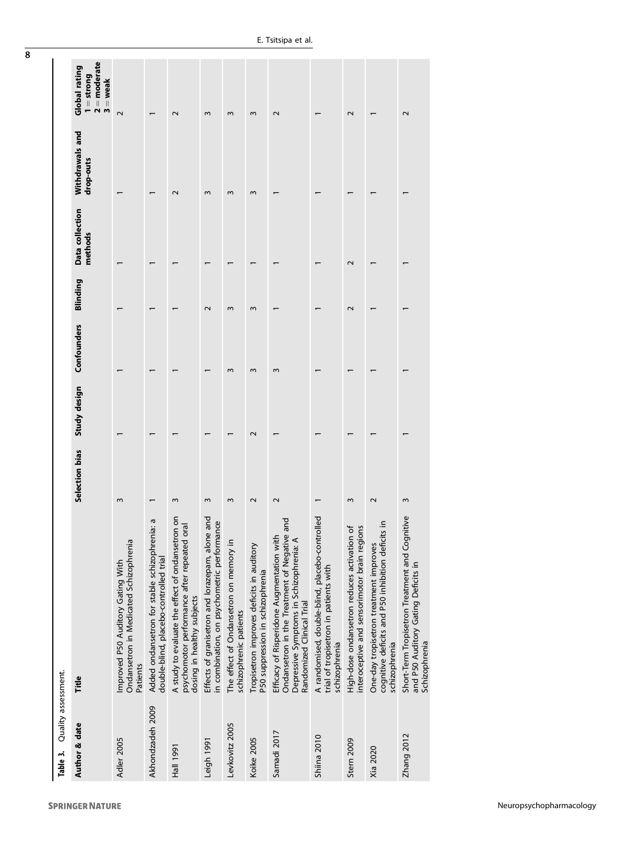| Quality assessment.<br>Table 3. |                                                                                                                                                                           |                   |              |             |          |                            |                              |                                                               |
|---------------------------------|---------------------------------------------------------------------------------------------------------------------------------------------------------------------------|-------------------|--------------|-------------|----------|----------------------------|------------------------------|---------------------------------------------------------------|
| Author & date                   | Title                                                                                                                                                                     | Selection bias    | Study design | Confounders | Blinding | Data collection<br>methods | Withdrawals and<br>drop-outs | $2 =$ moderate<br>Global rating<br>$1 =$ strong<br>$3 =$ weak |
| Adler 2005                      | Ondansetron in Medicated Schizophrenia<br>Improved P50 Auditory Gating With<br>Patients                                                                                   | 3                 |              |             |          |                            |                              | $\sim$                                                        |
| Akhondzadeh 2009                | G<br>Added ondansetron for stable schizophrenia:<br>double-blind, placebo-controlled trial                                                                                |                   |              |             |          |                            |                              |                                                               |
| <b>Hall 1991</b>                | A study to evaluate the effect of ondansetron on<br>psychomotor performance after repeated oral<br>dosing in healthy subjects                                             | 3                 |              |             |          |                            | $\mathbf 2$                  | $\mathbf 2$                                                   |
| Leigh 1991                      | Effects of granisetron and lorazepam, alone and<br>ဖြ<br>in combination, on psychometric performan                                                                        | ξ                 |              |             | $\sim$   |                            | 3                            | 3                                                             |
| Levkovitz 2005                  | The effect of Ondansetron on memory in<br>schizophrenic patients                                                                                                          | $\sim$            |              | ω           | ω        |                            | ω                            | $\sim$                                                        |
| Koike 2005                      | Tropisetron improves deficits in auditory<br>P50 suppression in schizophrenia                                                                                             | $\mathbf{\Omega}$ | 2            | 3           | ω        |                            | w                            | 3                                                             |
| Samadi 2017                     | and<br>ā<br>Ondansetron in the Treatment of Negative<br>Efficacy of Risperidone Augmentation with<br>Depressive Symptoms in Schizophrenia: A<br>Randomized Clinical Trial | $\sim$            |              | 3           |          |                            |                              | $\sim$                                                        |
| Shiina 2010                     | A randomised, double-blind, placebo-controlled<br>trial of tropisetron in patients with<br>schizophrenia                                                                  |                   |              |             |          |                            |                              |                                                               |
| Stern 2009                      | High-dose ondansetron reduces activation of<br>$\overline{6}$<br>interoceptive and sensorimotor brain region                                                              | 3                 |              |             | $\sim$   | $\sim$                     |                              | $\sim$                                                        |
| Xia 2020                        | ⊇.<br>cognitive deficits and P50 inhibition deficits<br>One-day tropisetron treatment improves<br>schizophrenia                                                           | $\mathbf{\Omega}$ |              |             |          |                            |                              |                                                               |
| Zhang 2012                      | Short-Term Tropisetron Treatment and Cognitive<br>and P50 Auditory Gating Deficits in<br>Schizophrenia                                                                    | 3                 |              |             |          |                            |                              | 2                                                             |

<span id="page-7-0"></span>8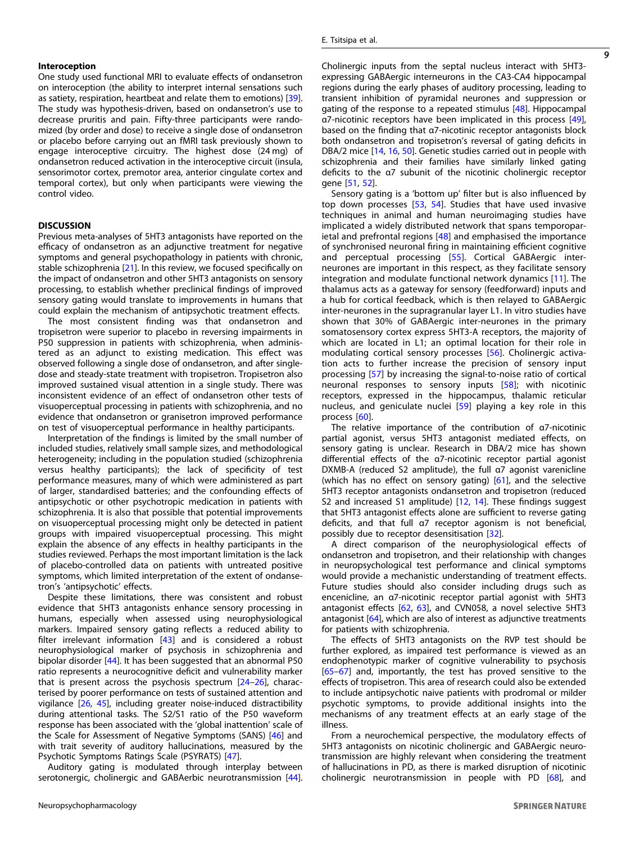#### Interoception

One study used functional MRI to evaluate effects of ondansetron on interoception (the ability to interpret internal sensations such as satiety, respiration, heartbeat and relate them to emotions) [\[39\]](#page-9-0). The study was hypothesis-driven, based on ondansetron's use to decrease pruritis and pain. Fifty-three participants were randomized (by order and dose) to receive a single dose of ondansetron or placebo before carrying out an fMRI task previously shown to engage interoceptive circuitry. The highest dose (24 mg) of ondansetron reduced activation in the interoceptive circuit (insula, sensorimotor cortex, premotor area, anterior cingulate cortex and temporal cortex), but only when participants were viewing the control video.

# **DISCUSSION**

Previous meta-analyses of 5HT3 antagonists have reported on the efficacy of ondansetron as an adjunctive treatment for negative symptoms and general psychopathology in patients with chronic, stable schizophrenia [\[21](#page-9-0)]. In this review, we focused specifically on the impact of ondansetron and other 5HT3 antagonists on sensory processing, to establish whether preclinical findings of improved sensory gating would translate to improvements in humans that could explain the mechanism of antipsychotic treatment effects.

The most consistent finding was that ondansetron and tropisetron were superior to placebo in reversing impairments in P50 suppression in patients with schizophrenia, when administered as an adjunct to existing medication. This effect was observed following a single dose of ondansetron, and after singledose and steady-state treatment with tropisetron. Tropisetron also improved sustained visual attention in a single study. There was inconsistent evidence of an effect of ondansetron other tests of visuoperceptual processing in patients with schizophrenia, and no evidence that ondansetron or granisetron improved performance on test of visuoperceptual performance in healthy participants.

Interpretation of the findings is limited by the small number of included studies, relatively small sample sizes, and methodological heterogeneity; including in the population studied (schizophrenia versus healthy participants); the lack of specificity of test performance measures, many of which were administered as part of larger, standardised batteries; and the confounding effects of antipsychotic or other psychotropic medication in patients with schizophrenia. It is also that possible that potential improvements on visuoperceptual processing might only be detected in patient groups with impaired visuoperceptual processing. This might explain the absence of any effects in healthy participants in the studies reviewed. Perhaps the most important limitation is the lack of placebo-controlled data on patients with untreated positive symptoms, which limited interpretation of the extent of ondansetron's 'antipsychotic' effects.

Despite these limitations, there was consistent and robust evidence that 5HT3 antagonists enhance sensory processing in humans, especially when assessed using neurophysiological markers. Impaired sensory gating reflects a reduced ability to filter irrelevant information [[43\]](#page-9-0) and is considered a robust neurophysiological marker of psychosis in schizophrenia and bipolar disorder [[44\]](#page-10-0). It has been suggested that an abnormal P50 ratio represents a neurocognitive deficit and vulnerability marker that is present across the psychosis spectrum  $[24-26]$  $[24-26]$  $[24-26]$ , characterised by poorer performance on tests of sustained attention and vigilance [[26,](#page-9-0) [45](#page-10-0)], including greater noise-induced distractibility during attentional tasks. The S2/S1 ratio of the P50 waveform response has been associated with the 'global inattention' scale of the Scale for Assessment of Negative Symptoms (SANS) [[46](#page-10-0)] and with trait severity of auditory hallucinations, measured by the Psychotic Symptoms Ratings Scale (PSYRATS) [\[47](#page-10-0)].

Auditory gating is modulated through interplay between serotonergic, cholinergic and GABAerbic neurotransmission [\[44\]](#page-10-0). Cholinergic inputs from the septal nucleus interact with 5HT3 expressing GABAergic interneurons in the CA3-CA4 hippocampal regions during the early phases of auditory processing, leading to transient inhibition of pyramidal neurones and suppression or gating of the response to a repeated stimulus [\[48\]](#page-10-0). Hippocampal α7-nicotinic receptors have been implicated in this process [\[49\]](#page-10-0), based on the finding that α7-nicotinic receptor antagonists block both ondansetron and tropisetron's reversal of gating deficits in DBA/2 mice [[14,](#page-9-0) [16](#page-9-0), [50](#page-10-0)]. Genetic studies carried out in people with schizophrenia and their families have similarly linked gating deficits to the α7 subunit of the nicotinic cholinergic receptor gene [\[51](#page-10-0), [52](#page-10-0)].

Sensory gating is a 'bottom up' filter but is also influenced by top down processes [\[53](#page-10-0), [54\]](#page-10-0). Studies that have used invasive techniques in animal and human neuroimaging studies have implicated a widely distributed network that spans temporoparietal and prefrontal regions [\[48\]](#page-10-0) and emphasised the importance of synchronised neuronal firing in maintaining efficient cognitive and perceptual processing [[55](#page-10-0)]. Cortical GABAergic interneurones are important in this respect, as they facilitate sensory integration and modulate functional network dynamics [[11\]](#page-9-0). The thalamus acts as a gateway for sensory (feedforward) inputs and a hub for cortical feedback, which is then relayed to GABAergic inter-neurones in the supragranular layer L1. In vitro studies have shown that 30% of GABAergic inter-neurones in the primary somatosensory cortex express 5HT3-A receptors, the majority of which are located in L1; an optimal location for their role in modulating cortical sensory processes [\[56\]](#page-10-0). Cholinergic activation acts to further increase the precision of sensory input processing [\[57\]](#page-10-0) by increasing the signal-to-noise ratio of cortical neuronal responses to sensory inputs [[58](#page-10-0)]; with nicotinic receptors, expressed in the hippocampus, thalamic reticular nucleus, and geniculate nuclei [[59\]](#page-10-0) playing a key role in this process [\[60\]](#page-10-0).

The relative importance of the contribution of α7-nicotinic partial agonist, versus 5HT3 antagonist mediated effects, on sensory gating is unclear. Research in DBA/2 mice has shown differential effects of the α7-nicotinic receptor partial agonist DXMB-A (reduced S2 amplitude), the full α7 agonist varenicline (which has no effect on sensory gating) [[61\]](#page-10-0), and the selective 5HT3 receptor antagonists ondansetron and tropisetron (reduced S2 and increased S1 amplitude) [\[12,](#page-9-0) [14\]](#page-9-0). These findings suggest that 5HT3 antagonist effects alone are sufficient to reverse gating deficits, and that full α7 receptor agonism is not beneficial, possibly due to receptor desensitisation [\[32](#page-9-0)].

A direct comparison of the neurophysiological effects of ondansetron and tropisetron, and their relationship with changes in neuropsychological test performance and clinical symptoms would provide a mechanistic understanding of treatment effects. Future studies should also consider including drugs such as encenicline, an α7-nicotinic receptor partial agonist with 5HT3 antagonist effects [\[62,](#page-10-0) [63](#page-10-0)], and CVN058, a novel selective 5HT3 antagonist [\[64](#page-10-0)], which are also of interest as adjunctive treatments for patients with schizophrenia.

The effects of 5HT3 antagonists on the RVP test should be further explored, as impaired test performance is viewed as an endophenotypic marker of cognitive vulnerability to psychosis [\[65](#page-10-0)–[67](#page-10-0)] and, importantly, the test has proved sensitive to the effects of tropisetron. This area of research could also be extended to include antipsychotic naive patients with prodromal or milder psychotic symptoms, to provide additional insights into the mechanisms of any treatment effects at an early stage of the illness.

From a neurochemical perspective, the modulatory effects of 5HT3 antagonists on nicotinic cholinergic and GABAergic neurotransmission are highly relevant when considering the treatment of hallucinations in PD, as there is marked disruption of nicotinic cholinergic neurotransmission in people with PD [\[68\]](#page-10-0), and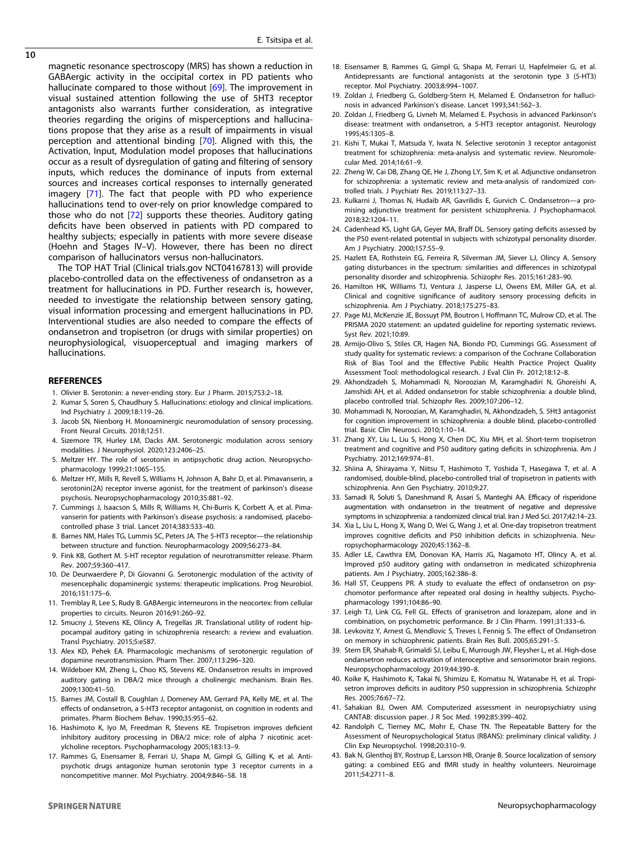<span id="page-9-0"></span>magnetic resonance spectroscopy (MRS) has shown a reduction in GABAergic activity in the occipital cortex in PD patients who hallucinate compared to those without [\[69](#page-10-0)]. The improvement in visual sustained attention following the use of 5HT3 receptor antagonists also warrants further consideration, as integrative theories regarding the origins of misperceptions and hallucinations propose that they arise as a result of impairments in visual perception and attentional binding [[70\]](#page-10-0). Aligned with this, the Activation, Input, Modulation model proposes that hallucinations occur as a result of dysregulation of gating and filtering of sensory inputs, which reduces the dominance of inputs from external sources and increases cortical responses to internally generated imagery [[71\]](#page-10-0). The fact that people with PD who experience hallucinations tend to over-rely on prior knowledge compared to those who do not [\[72](#page-10-0)] supports these theories. Auditory gating deficits have been observed in patients with PD compared to healthy subjects; especially in patients with more severe disease (Hoehn and Stages IV–V). However, there has been no direct comparison of hallucinators versus non-hallucinators.

The TOP HAT Trial (Clinical trials.gov NCT04167813) will provide placebo-controlled data on the effectiveness of ondansetron as a treatment for hallucinations in PD. Further research is, however, needed to investigate the relationship between sensory gating, visual information processing and emergent hallucinations in PD. Interventional studies are also needed to compare the effects of ondansetron and tropisetron (or drugs with similar properties) on neurophysiological, visuoperceptual and imaging markers of hallucinations.

## **REFERENCES**

- 1. Olivier B. Serotonin: a never-ending story. Eur J Pharm. 2015;753:2–18.
- 2. Kumar S, Soren S, Chaudhury S. Hallucinations: etiology and clinical implications. Ind Psychiatry J. 2009;18:119–26.
- 3. Jacob SN, Nienborg H. Monoaminergic neuromodulation of sensory processing. Front Neural Circuits. 2018;12:51.
- 4. Sizemore TR, Hurley LM, Dacks AM. Serotonergic modulation across sensory modalities. J Neurophysiol. 2020;123:2406–25.
- 5. Meltzer HY. The role of serotonin in antipsychotic drug action. Neuropsychopharmacology 1999;21:106S–15S.
- 6. Meltzer HY, Mills R, Revell S, Williams H, Johnson A, Bahr D, et al. Pimavanserin, a serotonin(2A) receptor inverse agonist, for the treatment of parkinson's disease psychosis. Neuropsychopharmacology 2010;35:881–92.
- 7. Cummings J, Isaacson S, Mills R, Williams H, Chi-Burris K, Corbett A, et al. Pimavanserin for patients with Parkinson's disease psychosis: a randomised, placebocontrolled phase 3 trial. Lancet 2014;383:533–40.
- 8. Barnes NM, Hales TG, Lummis SC, Peters JA. The 5-HT3 receptor—the relationship between structure and function. Neuropharmacology 2009;56:273–84.
- 9. Fink KB, Gothert M. 5-HT receptor regulation of neurotransmitter release. Pharm Rev. 2007;59:360–417.
- 10. De Deurwaerdere P, Di Giovanni G. Serotonergic modulation of the activity of mesencephalic dopaminergic systems: therapeutic implications. Prog Neurobiol. 2016;151:175–6.
- 11. Tremblay R, Lee S, Rudy B. GABAergic interneurons in the neocortex: from cellular properties to circuits. Neuron 2016;91:260–92.
- 12. Smucny J, Stevens KE, Olincy A, Tregellas JR. Translational utility of rodent hippocampal auditory gating in schizophrenia research: a review and evaluation. Transl Psychiatry. 2015;5:e587.
- 13. Alex KD, Pehek EA. Pharmacologic mechanisms of serotonergic regulation of dopamine neurotransmission. Pharm Ther. 2007;113:296–320.
- 14. Wildeboer KM, Zheng L, Choo KS, Stevens KE. Ondansetron results in improved auditory gating in DBA/2 mice through a cholinergic mechanism. Brain Res. 2009;1300:41–50.
- 15. Barnes JM, Costall B, Coughlan J, Domeney AM, Gerrard PA, Kelly ME, et al. The effects of ondansetron, a 5-HT3 receptor antagonist, on cognition in rodents and primates. Pharm Biochem Behav. 1990;35:955–62.
- 16. Hashimoto K, Iyo M, Freedman R, Stevens KE. Tropisetron improves deficient inhibitory auditory processing in DBA/2 mice: role of alpha 7 nicotinic acetylcholine receptors. Psychopharmacology 2005;183:13–9.
- 17. Rammes G, Eisensamer B, Ferrari U, Shapa M, Gimpl G, Gilling K, et al. Antipsychotic drugs antagonize human serotonin type 3 receptor currents in a noncompetitive manner. Mol Psychiatry. 2004;9:846–58. 18
- 18. Eisensamer B, Rammes G, Gimpl G, Shapa M, Ferrari U, Hapfelmeier G, et al. Antidepressants are functional antagonists at the serotonin type 3 (5-HT3) receptor. Mol Psychiatry. 2003;8:994–1007.
- 19. Zoldan J, Friedberg G, Goldberg-Stern H, Melamed E. Ondansetron for hallucinosis in advanced Parkinson's disease. Lancet 1993;341:562–3.
- 20. Zoldan J, Friedberg G, Livneh M, Melamed E. Psychosis in advanced Parkinson's disease: treatment with ondansetron, a 5-HT3 receptor antagonist. Neurology 1995;45:1305–8.
- 21. Kishi T, Mukai T, Matsuda Y, Iwata N. Selective serotonin 3 receptor antagonist treatment for schizophrenia: meta-analysis and systematic review. Neuromolecular Med. 2014;16:61–9.
- 22. Zheng W, Cai DB, Zhang QE, He J, Zhong LY, Sim K, et al. Adjunctive ondansetron for schizophrenia: a systematic review and meta-analysis of randomized controlled trials. J Psychiatr Res. 2019;113:27–33.
- 23. Kulkarni J, Thomas N, Hudaib AR, Gavrilidis E, Gurvich C. Ondansetron—a promising adjunctive treatment for persistent schizophrenia. J Psychopharmacol. 2018;32:1204–11.
- 24. Cadenhead KS, Light GA, Geyer MA, Braff DL. Sensory gating deficits assessed by the P50 event-related potential in subjects with schizotypal personality disorder. Am J Psychiatry. 2000;157:55–9.
- 25. Hazlett EA, Rothstein EG, Ferreira R, Silverman JM, Siever LJ, Olincy A. Sensory gating disturbances in the spectrum: similarities and differences in schizotypal personality disorder and schizophrenia. Schizophr Res. 2015;161:283–90.
- 26. Hamilton HK, Williams TJ, Ventura J, Jasperse LJ, Owens EM, Miller GA, et al. Clinical and cognitive significance of auditory sensory processing deficits in schizophrenia. Am J Psychiatry. 2018;175:275–83.
- 27. Page MJ, McKenzie JE, Bossuyt PM, Boutron I, Hoffmann TC, Mulrow CD, et al. The PRISMA 2020 statement: an updated guideline for reporting systematic reviews. Syst Rev. 2021;10:89.
- 28. Armijo-Olivo S, Stiles CR, Hagen NA, Biondo PD, Cummings GG. Assessment of study quality for systematic reviews: a comparison of the Cochrane Collaboration Risk of Bias Tool and the Effective Public Health Practice Project Quality Assessment Tool: methodological research. J Eval Clin Pr. 2012;18:12–8.
- 29. Akhondzadeh S, Mohammadi N, Noroozian M, Karamghadiri N, Ghoreishi A, Jamshidi AH, et al. Added ondansetron for stable schizophrenia: a double blind, placebo controlled trial. Schizophr Res. 2009;107:206–12.
- 30. Mohammadi N, Noroozian, M, Karamghadiri, N, Akhondzadeh, S. 5Ht3 antagonist for cognition improvement in schizophrenia: a double blind, placebo-controlled trial. Basic Clin Neurosci. 2010;1:10–14.
- 31. Zhang XY, Liu L, Liu S, Hong X, Chen DC, Xiu MH, et al. Short-term tropisetron treatment and cognitive and P50 auditory gating deficits in schizophrenia. Am J Psychiatry. 2012;169:974–81.
- 32. Shiina A, Shirayama Y, Niitsu T, Hashimoto T, Yoshida T, Hasegawa T, et al. A randomised, double-blind, placebo-controlled trial of tropisetron in patients with schizophrenia. Ann Gen Psychiatry. 2010;9:27.
- 33. Samadi R, Soluti S, Daneshmand R, Assari S, Manteghi AA. Efficacy of risperidone augmentation with ondansetron in the treatment of negative and depressive symptoms in schizophrenia: a randomized clinical trial. Iran J Med Sci. 2017;42:14–23.
- 34. Xia L, Liu L, Hong X, Wang D, Wei G, Wang J, et al. One-day tropisetron treatment improves cognitive deficits and P50 inhibition deficits in schizophrenia. Neuropsychopharmacology 2020;45:1362–8.
- 35. Adler LE, Cawthra EM, Donovan KA, Harris JG, Nagamoto HT, Olincy A, et al. Improved p50 auditory gating with ondansetron in medicated schizophrenia patients. Am J Psychiatry. 2005;162:386–8.
- 36. Hall ST, Ceuppens PR. A study to evaluate the effect of ondansetron on psychomotor performance after repeated oral dosing in healthy subjects. Psychopharmacology 1991;104:86–90.
- 37. Leigh TJ, Link CG, Fell GL. Effects of granisetron and lorazepam, alone and in combination, on psychometric performance. Br J Clin Pharm. 1991;31:333–6.
- 38. Levkovitz Y, Arnest G, Mendlovic S, Treves I, Fennig S. The effect of Ondansetron on memory in schizophrenic patients. Brain Res Bull. 2005;65:291–5.
- 39. Stern ER, Shahab R, Grimaldi SJ, Leibu E, Murrough JW, Fleysher L, et al. High-dose ondansetron reduces activation of interoceptive and sensorimotor brain regions. Neuropsychopharmacology 2019;44:390–8.
- 40. Koike K, Hashimoto K, Takai N, Shimizu E, Komatsu N, Watanabe H, et al. Tropisetron improves deficits in auditory P50 suppression in schizophrenia. Schizophr Res. 2005;76:67–72.
- 41. Sahakian BJ, Owen AM. Computerized assessment in neuropsychiatry using CANTAB: discussion paper. J R Soc Med. 1992;85:399–402.
- 42. Randolph C, Tierney MC, Mohr E, Chase TN. The Repeatable Battery for the Assessment of Neuropsychological Status (RBANS): preliminary clinical validity. J Clin Exp Neuropsychol. 1998;20:310–9.
- 43. Bak N, Glenthoj BY, Rostrup E, Larsson HB, Oranje B. Source localization of sensory gating: a combined EEG and fMRI study in healthy volunteers. Neuroimage 2011;54:2711–8.